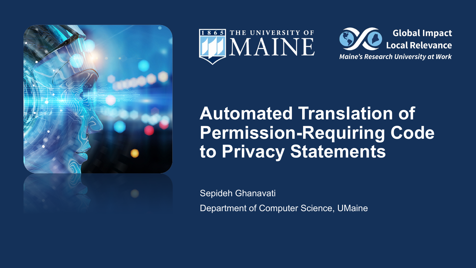





# **Automated Translation of Permission-Requiring Code to Privacy Statements**

Sepideh Ghanavati

Department of Computer Science, UMaine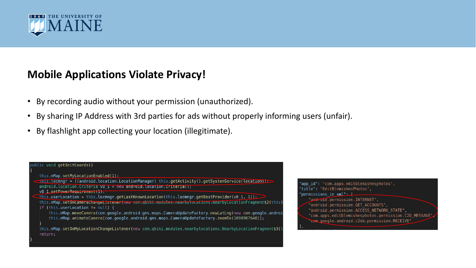

#### **Mobile Applications Violate Privacy!**

- By recording audio without your permission (unauthorized).
- By sharing IP Address with 3rd parties for ads without properly informing users (unfair).
- By flashlight app collecting your location (illegitimate).



"app id": "com.apps.editblemishesphotos", 'title": "EditBlemishesPhotos", permissions in xml": [ "android.permission.INTERNET", "android.permission.GET ACCOUNTS", "android.permission.ACCESS NETWORK STATE", "com.apps.editblemishesphotos.permission.C2D MESSAGE" "cem.google.android.c2dm.permission.RECEIVE"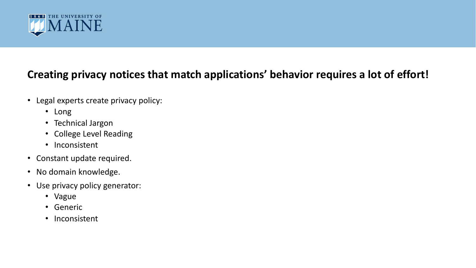

# **Creating privacy notices that match applications' behavior requires a lot of effort!**

- Legal experts create privacy policy:
	- Long
	- Technical Jargon
	- College Level Reading
	- Inconsistent
- Constant update required.
- No domain knowledge.
- Use privacy policy generator:
	- Vague
	- Generic
	- Inconsistent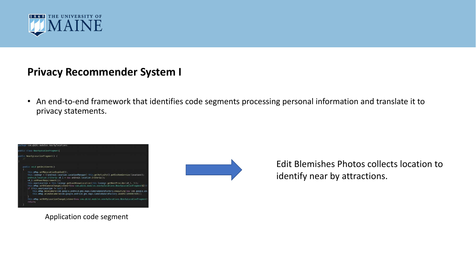

## **Privacy Recommender System I**

• An end-to-end framework that identifies code segments processing personal information and translate it to privacy statements.



Application code segment



Edit Blemishes Photos collects location to identify near by attractions.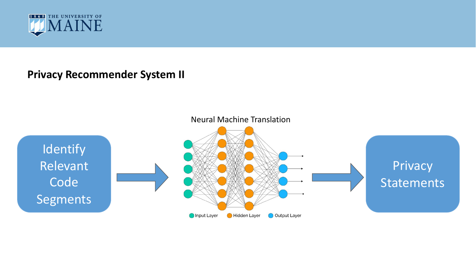

#### **Privacy Recommender System II**

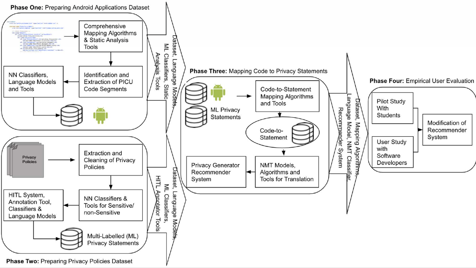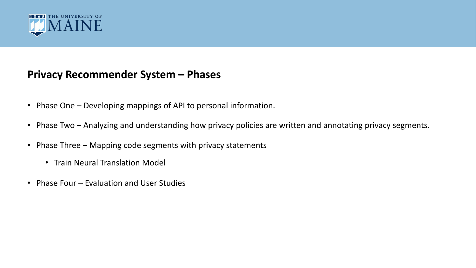

#### **Privacy Recommender System – Phases**

- Phase One Developing mappings of API to personal information.
- Phase Two Analyzing and understanding how privacy policies are written and annotating privacy segments.
- Phase Three Mapping code segments with privacy statements
	- Train Neural Translation Model
- Phase Four Evaluation and User Studies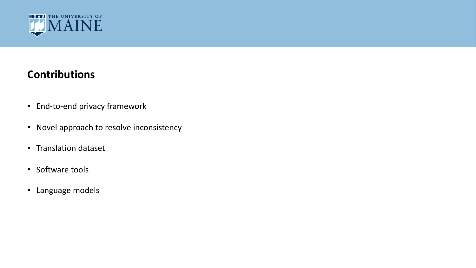

## **Contributions**

- End-to-end privacy framework
- Novel approach to resolve inconsistency
- Translation dataset
- Software tools
- Language models